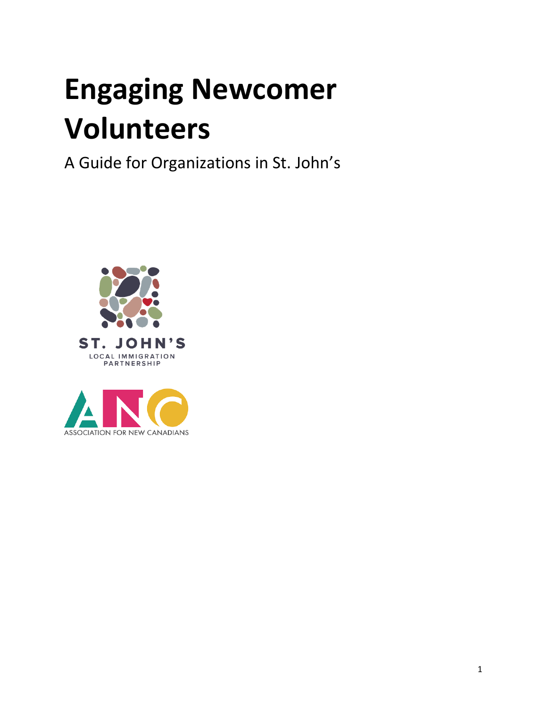# **Engaging Newcomer Volunteers**

A Guide for Organizations in St. John's



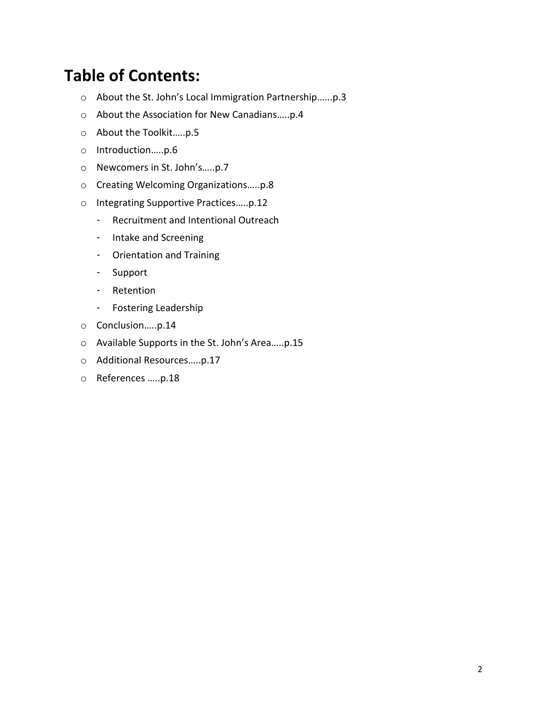### **Table of Contents:**

- o About the St. John's Local Immigration Partnership…...p.3
- o About the Association for New Canadians…..p.4
- o About the Toolkit…..p.5
- o Introduction…..p.6
- o Newcomers in St. John's…..p.7
- o Creating Welcoming Organizations…..p.8
- o Integrating Supportive Practices…..p.12
	- Recruitment and Intentional Outreach
	- Intake and Screening
	- Orientation and Training
	- Support
	- Retention
	- Fostering Leadership
- o Conclusion…..p.14
- o Available Supports in the St. John's Area…..p.15
- o Additional Resources…..p.17
- o References …..p.18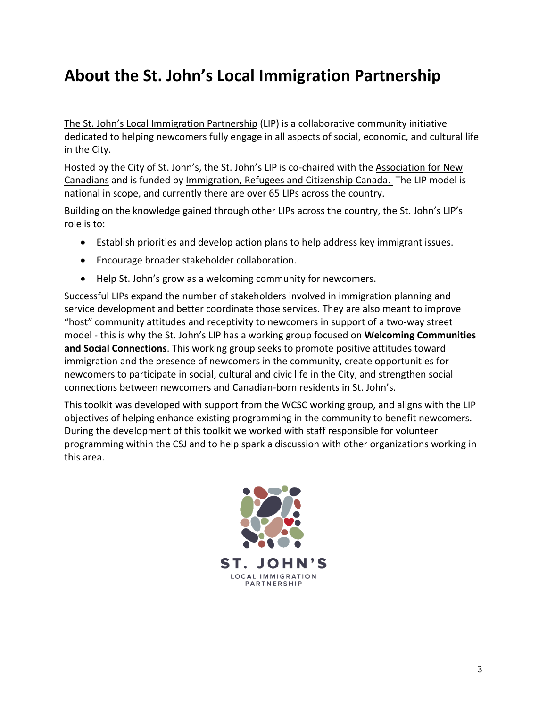### **About the St. John's Local Immigration Partnership**

The St. John's Local [Immigration](http://www.stjohns.ca/living-st-johns/your-city/local-immigration-partnership) Partnership (LIP) is a collaborative community initiative dedicated to helping newcomers fully engage in all aspects of social, economic, and cultural life in the City.

Hosted by the City of St. John's, the St. John's LIP is co-chaired with the [Association](http://ancnl.ca/) for New [Canadians](http://ancnl.ca/) and is funded by [Immigration,](http://www.cic.gc.ca/english/department/) Refugees and Citizenship Canada. The LIP model is national in scope, and currently there are over 65 LIPs across the country.

Building on the knowledge gained through other LIPs across the country, the St. John's LIP's role is to:

- Establish priorities and develop action plans to help address key immigrant issues.
- Encourage broader stakeholder collaboration.
- Help St. John's grow as a welcoming community for newcomers.

Successful LIPs expand the number of stakeholders involved in immigration planning and service development and better coordinate those services. They are also meant to improve "host" community attitudes and receptivity to newcomers in support of a two-way street model - this is why the St. John's LIP has a working group focused on **Welcoming Communities and Social Connections**. This working group seeks to promote positive attitudes toward immigration and the presence of newcomers in the community, create opportunities for newcomers to participate in social, cultural and civic life in the City, and strengthen social connections between newcomers and Canadian-born residents in St. John's.

This toolkit was developed with support from the WCSC working group, and aligns with the LIP objectives of helping enhance existing programming in the community to benefit newcomers. During the development of this toolkit we worked with staff responsible for volunteer programming within the CSJ and to help spark a discussion with other organizations working in this area.

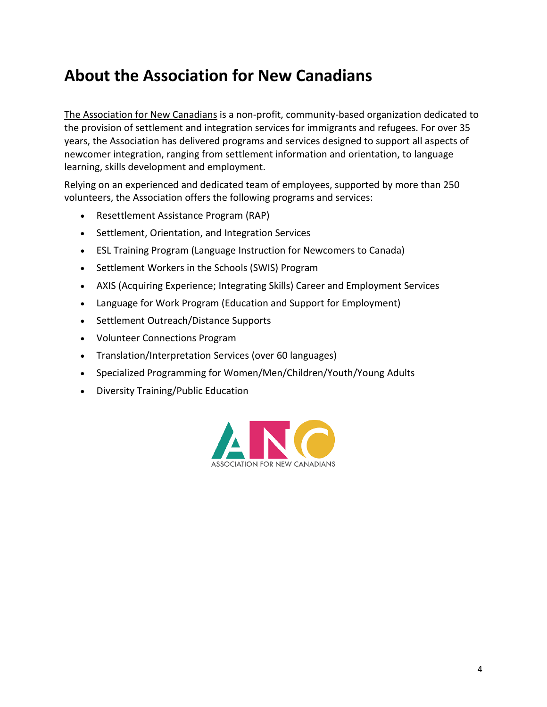### **About the Association for New Canadians**

The [Association](http://ancnl.ca/) for New Canadians is a non-profit, community-based organization dedicated to the provision of settlement and integration services for immigrants and refugees. For over 35 years, the Association has delivered programs and services designed to support all aspects of newcomer integration, ranging from settlement information and orientation, to language learning, skills development and employment.

Relying on an experienced and dedicated team of employees, supported by more than 250 volunteers, the Association offers the following programs and services:

- Resettlement Assistance Program (RAP)
- Settlement, Orientation, and Integration Services
- ESL Training Program (Language Instruction for Newcomers to Canada)
- Settlement Workers in the Schools (SWIS) Program
- AXIS (Acquiring Experience; Integrating Skills) Career and Employment Services
- Language for Work Program (Education and Support for Employment)
- Settlement Outreach/Distance Supports
- Volunteer Connections Program
- Translation/Interpretation Services (over 60 languages)
- Specialized Programming for Women/Men/Children/Youth/Young Adults
- Diversity Training/Public Education

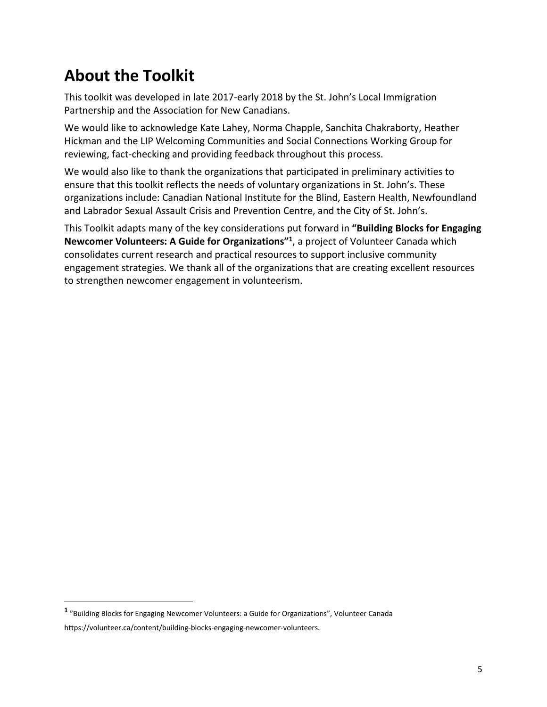# **About the Toolkit**

This toolkit was developed in late 2017-early 2018 by the St. John's Local Immigration Partnership and the Association for New Canadians.

We would like to acknowledge Kate Lahey, Norma Chapple, Sanchita Chakraborty, Heather Hickman and the LIP Welcoming Communities and Social Connections Working Group for reviewing, fact-checking and providing feedback throughout this process.

We would also like to thank the organizations that participated in preliminary activities to ensure that this toolkit reflects the needs of voluntary organizations in St. John's. These organizations include: Canadian National Institute for the Blind, Eastern Health, Newfoundland and Labrador Sexual Assault Crisis and Prevention Centre, and the City of St. John's.

This Toolkit adapts many of the key considerations put forward in **"Building Blocks for Engaging Newcomer Volunteers: A Guide for Organizations"<sup>1</sup>** , a project of Volunteer Canada which consolidates current research and practical resources to support inclusive community engagement strategies. We thank all of the organizations that are creating excellent resources to strengthen newcomer engagement in volunteerism.

 $\overline{a}$ 

**<sup>1</sup>** "Building Blocks for Engaging Newcomer Volunteers: a Guide for Organizations", Volunteer Canada

https://volunteer.ca/content/building-blocks-engaging-newcomer-volunteers.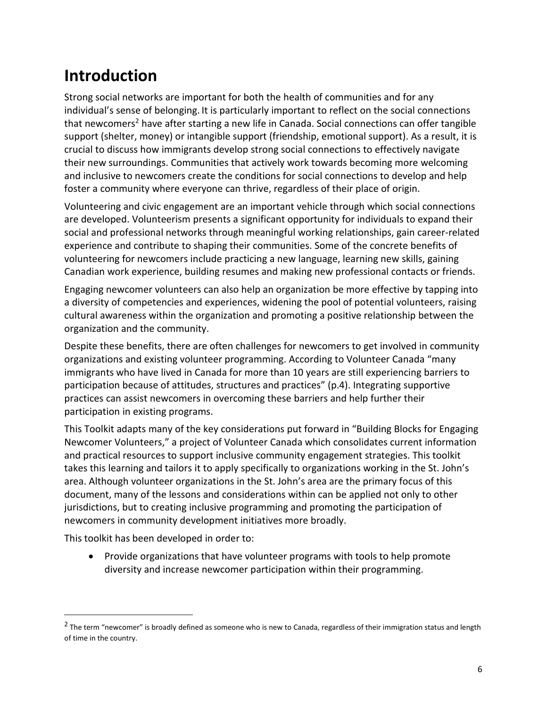# **Introduction**

Strong social networks are important for both the health of communities and for any individual's sense of belonging. It is particularly important to reflect on the social connections that newcomers<sup>2</sup> have after starting a new life in Canada. Social connections can offer tangible support (shelter, money) or intangible support (friendship, emotional support). As a result, it is crucial to discuss how immigrants develop strong social connections to effectively navigate their new surroundings. Communities that actively work towards becoming more welcoming and inclusive to newcomers create the conditions for social connections to develop and help foster a community where everyone can thrive, regardless of their place of origin.

Volunteering and civic engagement are an important vehicle through which social connections are developed. Volunteerism presents a significant opportunity for individuals to expand their social and professional networks through meaningful working relationships, gain career-related experience and contribute to shaping their communities. Some of the concrete benefits of volunteering for newcomers include practicing a new language, learning new skills, gaining Canadian work experience, building resumes and making new professional contacts or friends.

Engaging newcomer volunteers can also help an organization be more effective by tapping into a diversity of competencies and experiences, widening the pool of potential volunteers, raising cultural awareness within the organization and promoting a positive relationship between the organization and the community.

Despite these benefits, there are often challenges for newcomers to get involved in community organizations and existing volunteer programming. According to Volunteer Canada "many immigrants who have lived in Canada for more than 10 years are still experiencing barriers to participation because of attitudes, structures and practices" (p.4). Integrating supportive practices can assist newcomers in overcoming these barriers and help further their participation in existing programs.

This Toolkit adapts many of the key considerations put forward in "Building Blocks for Engaging Newcomer Volunteers," a project of Volunteer Canada which consolidates current information and practical resources to support inclusive community engagement strategies. This toolkit takes this learning and tailors it to apply specifically to organizations working in the St. John's area. Although volunteer organizations in the St. John's area are the primary focus of this document, many of the lessons and considerations within can be applied not only to other jurisdictions, but to creating inclusive programming and promoting the participation of newcomers in community development initiatives more broadly.

This toolkit has been developed in order to:

 $\overline{a}$ 

• Provide organizations that have volunteer programs with tools to help promote diversity and increase newcomer participation within their programming.

<sup>&</sup>lt;sup>2</sup> The term "newcomer" is broadly defined as someone who is new to Canada, regardless of their immigration status and length of time in the country.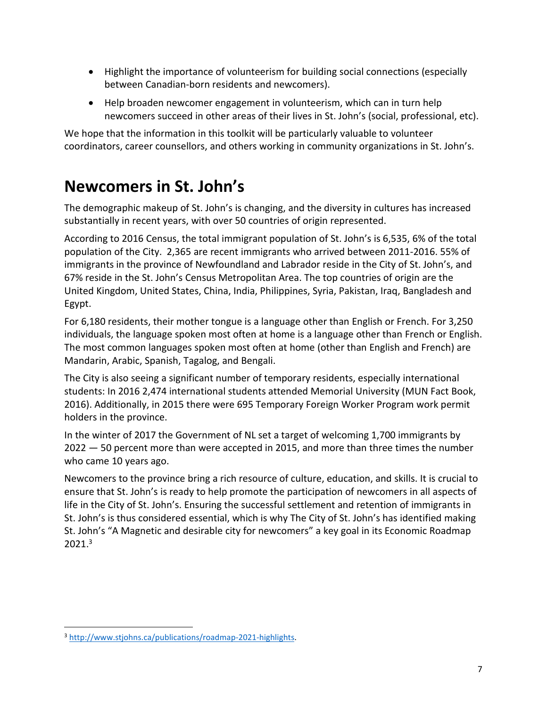- Highlight the importance of volunteerism for building social connections (especially between Canadian-born residents and newcomers).
- Help broaden newcomer engagement in volunteerism, which can in turn help newcomers succeed in other areas of their lives in St. John's (social, professional, etc).

We hope that the information in this toolkit will be particularly valuable to volunteer coordinators, career counsellors, and others working in community organizations in St. John's.

### **Newcomers in St. John's**

The demographic makeup of St. John's is changing, and the diversity in cultures has increased substantially in recent years, with over 50 countries of origin represented.

According to 2016 Census, the total immigrant population of St. John's is 6,535, 6% of the total population of the City. 2,365 are recent immigrants who arrived between 2011-2016. 55% of immigrants in the province of Newfoundland and Labrador reside in the City of St. John's, and 67% reside in the St. John's Census Metropolitan Area. The top countries of origin are the United Kingdom, United States, China, India, Philippines, Syria, Pakistan, Iraq, Bangladesh and Egypt.

For 6,180 residents, their mother tongue is a language other than English or French. For 3,250 individuals, the language spoken most often at home is a language other than French or English. The most common languages spoken most often at home (other than English and French) are Mandarin, Arabic, Spanish, Tagalog, and Bengali.

The City is also seeing a significant number of temporary residents, especially international students: In 2016 2,474 international students attended Memorial University (MUN Fact Book, 2016). Additionally, in 2015 there were 695 Temporary Foreign Worker Program work permit holders in the province.

In the winter of 2017 the Government of NL set a target of welcoming 1,700 immigrants by 2022 — 50 percent more than were accepted in 2015, and more than three times the number who came 10 years ago.

Newcomers to the province bring a rich resource of culture, education, and skills. It is crucial to ensure that St. John's is ready to help promote the participation of newcomers in all aspects of life in the City of St. John's. Ensuring the successful settlement and retention of immigrants in St. John's is thus considered essential, which is why The City of St. John's has identified making St. John's "A Magnetic and desirable city for newcomers" a key goal in its Economic Roadmap 2021.<sup>3</sup>

 $\overline{a}$ 

<sup>3</sup> [http://www.stjohns.ca/publications/roadmap-2021-highlights.](http://www.stjohns.ca/publications/roadmap-2021-highlights)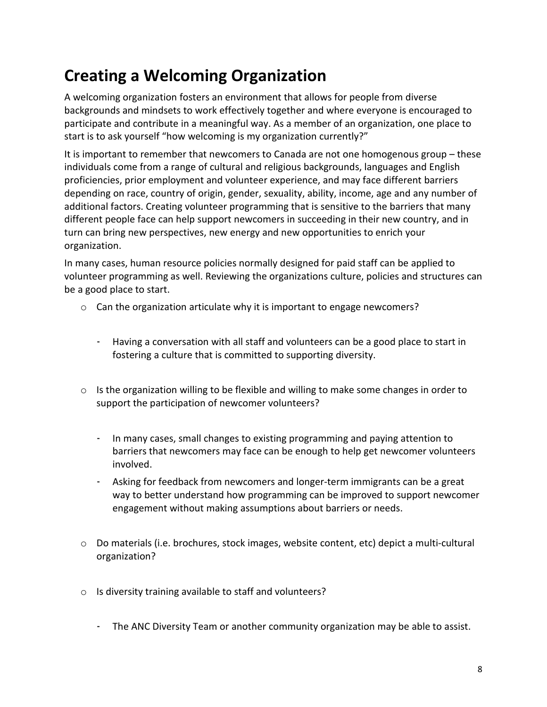# **Creating a Welcoming Organization**

A welcoming organization fosters an environment that allows for people from diverse backgrounds and mindsets to work effectively together and where everyone is encouraged to participate and contribute in a meaningful way. As a member of an organization, one place to start is to ask yourself "how welcoming is my organization currently?"

It is important to remember that newcomers to Canada are not one homogenous group – these individuals come from a range of cultural and religious backgrounds, languages and English proficiencies, prior employment and volunteer experience, and may face different barriers depending on race, country of origin, gender, sexuality, ability, income, age and any number of additional factors. Creating volunteer programming that is sensitive to the barriers that many different people face can help support newcomers in succeeding in their new country, and in turn can bring new perspectives, new energy and new opportunities to enrich your organization.

In many cases, human resource policies normally designed for paid staff can be applied to volunteer programming as well. Reviewing the organizations culture, policies and structures can be a good place to start.

- $\circ$  Can the organization articulate why it is important to engage newcomers?
	- Having a conversation with all staff and volunteers can be a good place to start in fostering a culture that is committed to supporting diversity.
- $\circ$  Is the organization willing to be flexible and willing to make some changes in order to support the participation of newcomer volunteers?
	- In many cases, small changes to existing programming and paying attention to barriers that newcomers may face can be enough to help get newcomer volunteers involved.
	- Asking for feedback from newcomers and longer-term immigrants can be a great way to better understand how programming can be improved to support newcomer engagement without making assumptions about barriers or needs.
- o Do materials (i.e. brochures, stock images, website content, etc) depict a multi-cultural organization?
- o Is diversity training available to staff and volunteers?
	- The ANC Diversity Team or another community organization may be able to assist.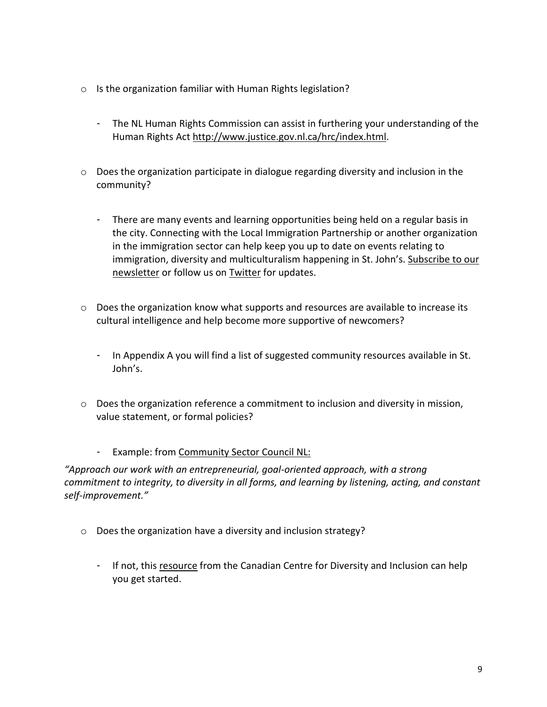- o Is the organization familiar with Human Rights legislation?
	- The NL Human Rights Commission can assist in furthering your understanding of the Human Rights Act [http://www.justice.gov.nl.ca/hrc/index.html.](http://www.justice.gov.nl.ca/hrc/index.html)
- o Does the organization participate in dialogue regarding diversity and inclusion in the community?
	- There are many events and learning opportunities being held on a regular basis in the city. Connecting with the Local Immigration Partnership or another organization in the immigration sector can help keep you up to date on events relating to immigration, diversity and multiculturalism happening in St. John's. [Subscribe](https://visitor.r20.constantcontact.com/manage/optin?v=001tLrdD-TdtfJKh3rA1BONYSsKsf7s4ZbYAmPxw8w9-LwYXVGNsaySuLp7kCIW9mKLNbuOUxaAIiJjoI9JIBxqo-AJaALX53VnNS27MBqr2L4%253D) to our [newsletter](https://visitor.r20.constantcontact.com/manage/optin?v=001tLrdD-TdtfJKh3rA1BONYSsKsf7s4ZbYAmPxw8w9-LwYXVGNsaySuLp7kCIW9mKLNbuOUxaAIiJjoI9JIBxqo-AJaALX53VnNS27MBqr2L4%253D) or follow us on [Twitter](https://twitter.com/StJohnsLIP) for updates.
- o Does the organization know what supports and resources are available to increase its cultural intelligence and help become more supportive of newcomers?
	- In Appendix A you will find a list of suggested community resources available in St. John's.
- o Does the organization reference a commitment to inclusion and diversity in mission, value statement, or formal policies?
	- Example: from [Community](http://communitysector.nl.ca/) Sector Council NL:

*"Approach our work with an entrepreneurial, goal-oriented approach, with a strong commitment to integrity, to diversity in all forms, and learning by listening, acting, and constant self-improvement."*

- o Does the organization have a diversity and inclusion strategy?
	- If not, this [resource](http://www.google.ca/url?sa=t&rct=j&q=&esrc=s&source=web&cd=5&cad=rja&uact=8&ved=0ahUKEwi-17HmyfzVAhVH7oMKHfE8Ce8QFgg8MAQ&url=http%253A%252F%252Fccdi.ca%252Ftoolkit-Diversity-Inclusion-Strategy&usg=AFQjCNG7eYxAm_QwIWbwxqgaO-7zFjYzwg) from the Canadian Centre for Diversity and Inclusion can help you get started.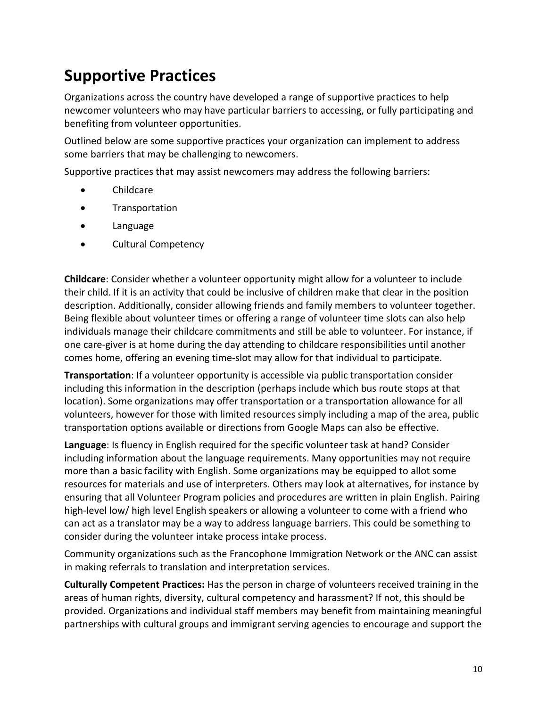### **Supportive Practices**

Organizations across the country have developed a range of supportive practices to help newcomer volunteers who may have particular barriers to accessing, or fully participating and benefiting from volunteer opportunities.

Outlined below are some supportive practices your organization can implement to address some barriers that may be challenging to newcomers.

Supportive practices that may assist newcomers may address the following barriers:

- Childcare
- Transportation
- Language
- Cultural Competency

**Childcare**: Consider whether a volunteer opportunity might allow for a volunteer to include their child. If it is an activity that could be inclusive of children make that clear in the position description. Additionally, consider allowing friends and family members to volunteer together. Being flexible about volunteer times or offering a range of volunteer time slots can also help individuals manage their childcare commitments and still be able to volunteer. For instance, if one care-giver is at home during the day attending to childcare responsibilities until another comes home, offering an evening time-slot may allow for that individual to participate.

**Transportation**: If a volunteer opportunity is accessible via public transportation consider including this information in the description (perhaps include which bus route stops at that location). Some organizations may offer transportation or a transportation allowance for all volunteers, however for those with limited resources simply including a map of the area, public transportation options available or directions from Google Maps can also be effective.

**Language**: Is fluency in English required for the specific volunteer task at hand? Consider including information about the language requirements. Many opportunities may not require more than a basic facility with English. Some organizations may be equipped to allot some resources for materials and use of interpreters. Others may look at alternatives, for instance by ensuring that all Volunteer Program policies and procedures are written in plain English. Pairing high-level low/ high level English speakers or allowing a volunteer to come with a friend who can act as a translator may be a way to address language barriers. This could be something to consider during the volunteer intake process intake process.

Community organizations such as the Francophone Immigration Network or the ANC can assist in making referrals to translation and interpretation services.

**Culturally Competent Practices:** Has the person in charge of volunteers received training in the areas of human rights, diversity, cultural competency and harassment? If not, this should be provided. Organizations and individual staff members may benefit from maintaining meaningful partnerships with cultural groups and immigrant serving agencies to encourage and support the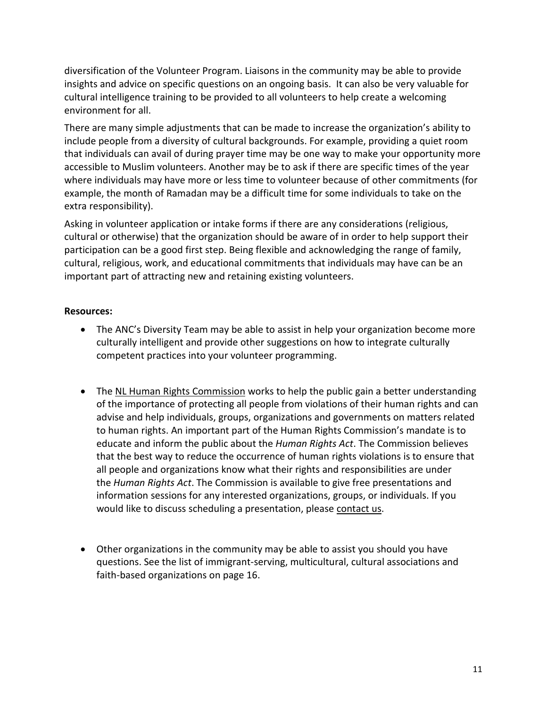diversification of the Volunteer Program. Liaisons in the community may be able to provide insights and advice on specific questions on an ongoing basis. It can also be very valuable for cultural intelligence training to be provided to all volunteers to help create a welcoming environment for all.

There are many simple adjustments that can be made to increase the organization's ability to include people from a diversity of cultural backgrounds. For example, providing a quiet room that individuals can avail of during prayer time may be one way to make your opportunity more accessible to Muslim volunteers. Another may be to ask if there are specific times of the year where individuals may have more or less time to volunteer because of other commitments (for example, the month of Ramadan may be a difficult time for some individuals to take on the extra responsibility).

Asking in volunteer application or intake forms if there are any considerations (religious, cultural or otherwise) that the organization should be aware of in order to help support their participation can be a good first step. Being flexible and acknowledging the range of family, cultural, religious, work, and educational commitments that individuals may have can be an important part of attracting new and retaining existing volunteers.

#### **Resources:**

- The ANC's Diversity Team may be able to assist in help your organization become more culturally intelligent and provide other suggestions on how to integrate culturally competent practices into your volunteer programming.
- The NL Human Rights [Commission](http://www.justice.gov.nl.ca/hrc/index.html) works to help the public gain a better understanding of the importance of protecting all people from violations of their human rights and can advise and help individuals, groups, organizations and governments on matters related to human rights. An important part of the Human Rights Commission's mandate is to educate and inform the public about the *Human Rights Act*. The Commission believes that the best way to reduce the occurrence of human rights violations is to ensure that all people and organizations know what their rights and responsibilities are under the *Human Rights Act*. The Commission is available to give free presentations and information sessions for any interested organizations, groups, or individuals. If you would like to discuss scheduling a presentation, please [contact](https://thinkhumanrights.ca/contact-us/) us.
- Other organizations in the community may be able to assist you should you have questions. See the list of immigrant-serving, multicultural, cultural associations and faith-based organizations on page 16.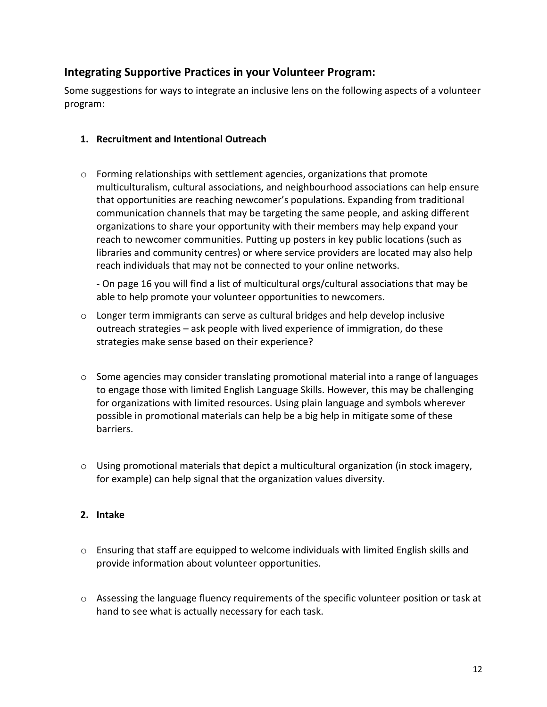### **Integrating Supportive Practices in your Volunteer Program:**

Some suggestions for ways to integrate an inclusive lens on the following aspects of a volunteer program:

#### **1. Recruitment and Intentional Outreach**

 $\circ$  Forming relationships with settlement agencies, organizations that promote multiculturalism, cultural associations, and neighbourhood associations can help ensure that opportunities are reaching newcomer's populations. Expanding from traditional communication channels that may be targeting the same people, and asking different organizations to share your opportunity with their members may help expand your reach to newcomer communities. Putting up posters in key public locations (such as libraries and community centres) or where service providers are located may also help reach individuals that may not be connected to your online networks.

- On page 16 you will find a list of multicultural orgs/cultural associations that may be able to help promote your volunteer opportunities to newcomers.

- $\circ$  Longer term immigrants can serve as cultural bridges and help develop inclusive outreach strategies – ask people with lived experience of immigration, do these strategies make sense based on their experience?
- $\circ$  Some agencies may consider translating promotional material into a range of languages to engage those with limited English Language Skills. However, this may be challenging for organizations with limited resources. Using plain language and symbols wherever possible in promotional materials can help be a big help in mitigate some of these barriers.
- o Using promotional materials that depict a multicultural organization (in stock imagery, for example) can help signal that the organization values diversity.

#### **2. Intake**

- $\circ$  Ensuring that staff are equipped to welcome individuals with limited English skills and provide information about volunteer opportunities.
- o Assessing the language fluency requirements of the specific volunteer position or task at hand to see what is actually necessary for each task.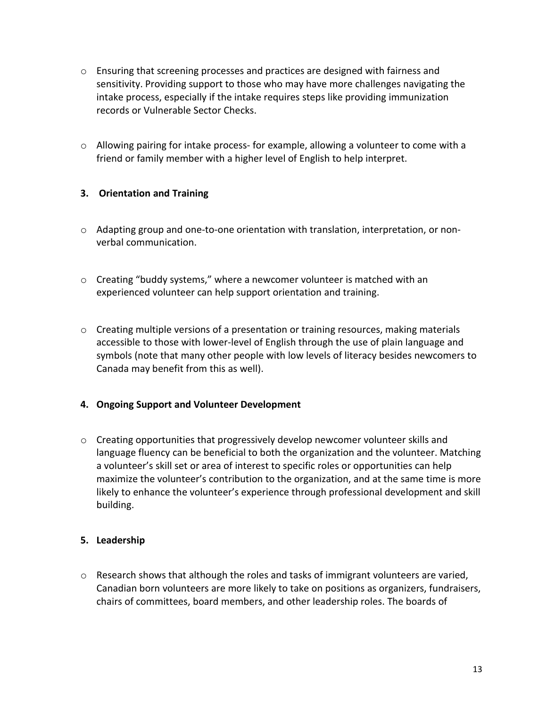- o Ensuring that screening processes and practices are designed with fairness and sensitivity. Providing support to those who may have more challenges navigating the intake process, especially if the intake requires steps like providing immunization records or Vulnerable Sector Checks.
- $\circ$  Allowing pairing for intake process- for example, allowing a volunteer to come with a friend or family member with a higher level of English to help interpret.

#### **3. Orientation and Training**

- o Adapting group and one-to-one orientation with translation, interpretation, or nonverbal communication.
- o Creating "buddy systems," where a newcomer volunteer is matched with an experienced volunteer can help support orientation and training.
- $\circ$  Creating multiple versions of a presentation or training resources, making materials accessible to those with lower-level of English through the use of plain language and symbols (note that many other people with low levels of literacy besides newcomers to Canada may benefit from this as well).

#### **4. Ongoing Support and Volunteer Development**

 $\circ$  Creating opportunities that progressively develop newcomer volunteer skills and language fluency can be beneficial to both the organization and the volunteer. Matching a volunteer's skill set or area of interest to specific roles or opportunities can help maximize the volunteer's contribution to the organization, and at the same time is more likely to enhance the volunteer's experience through professional development and skill building.

#### **5. Leadership**

 $\circ$  Research shows that although the roles and tasks of immigrant volunteers are varied, Canadian born volunteers are more likely to take on positions as organizers, fundraisers, chairs of committees, board members, and other leadership roles. The boards of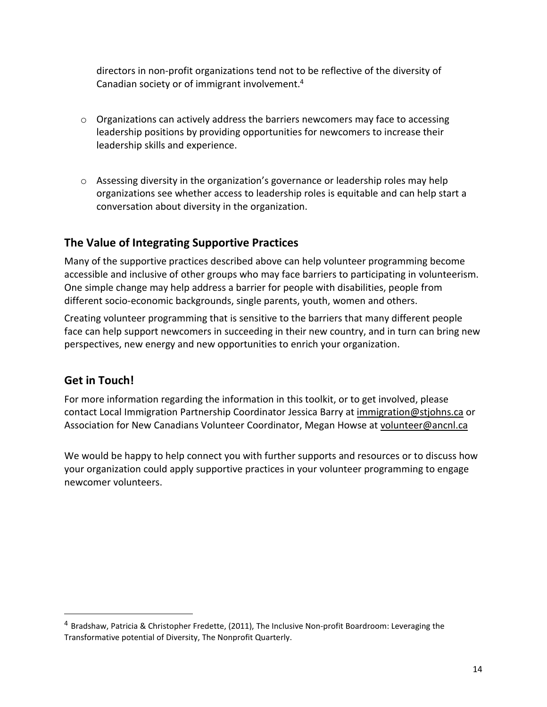directors in non-profit organizations tend not to be reflective of the diversity of Canadian society or of immigrant involvement.<sup>4</sup>

- $\circ$  Organizations can actively address the barriers newcomers may face to accessing leadership positions by providing opportunities for newcomers to increase their leadership skills and experience.
- $\circ$  Assessing diversity in the organization's governance or leadership roles may help organizations see whether access to leadership roles is equitable and can help start a conversation about diversity in the organization.

### **The Value of Integrating Supportive Practices**

Many of the supportive practices described above can help volunteer programming become accessible and inclusive of other groups who may face barriers to participating in volunteerism. One simple change may help address a barrier for people with disabilities, people from different socio-economic backgrounds, single parents, youth, women and others.

Creating volunteer programming that is sensitive to the barriers that many different people face can help support newcomers in succeeding in their new country, and in turn can bring new perspectives, new energy and new opportunities to enrich your organization.

### **Get in Touch!**

 $\overline{a}$ 

For more information regarding the information in this toolkit, or to get involved, please contact Local Immigration Partnership Coordinator Jessica Barry at [immigration@stjohns.ca](mailto:immigration@stjohns.ca) or Association for New Canadians Volunteer Coordinator, Megan Howse at [volunteer@ancnl.ca](mailto:volunteer@ancnl.ca)

We would be happy to help connect you with further supports and resources or to discuss how your organization could apply supportive practices in your volunteer programming to engage newcomer volunteers.

<sup>4</sup> Bradshaw, Patricia & Christopher Fredette, (2011), The Inclusive Non-profit Boardroom: Leveraging the Transformative potential of Diversity, The Nonprofit Quarterly.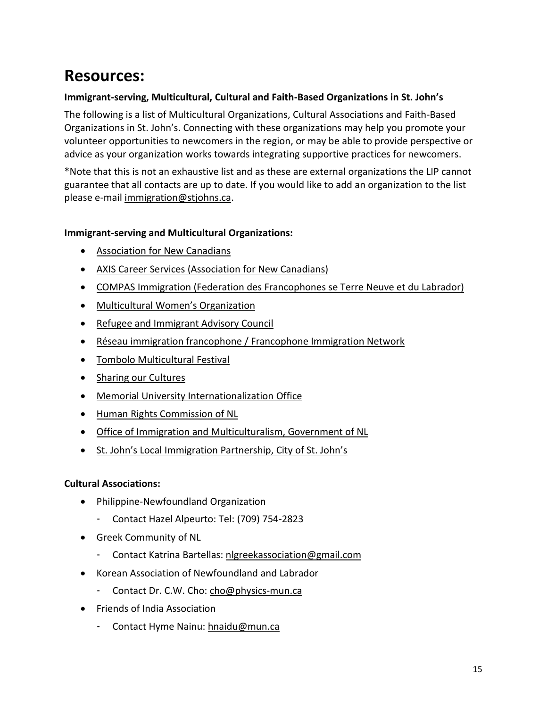### **Resources:**

#### **Immigrant-serving, Multicultural, Cultural and Faith-Based Organizations in St. John's**

The following is a list of Multicultural Organizations, Cultural Associations and Faith-Based Organizations in St. John's. Connecting with these organizations may help you promote your volunteer opportunities to newcomers in the region, or may be able to provide perspective or advice as your organization works towards integrating supportive practices for newcomers.

\*Note that this is not an exhaustive list and as these are external organizations the LIP cannot guarantee that all contacts are up to date. If you would like to add an organization to the list please e-mail [immigration@stjohns.ca.](mailto:immigration@stjohns.ca)

#### **Immigrant-serving and Multicultural Organizations:**

- [Association](http://ancnl.ca/?Content=Contact_Us) for New Canadians
- AXIS Career Services [\(Association](https://www.axiscareers.net/contact/) for New Canadians)
- COMPAS Immigration (Federation des [Francophones](https://www.francotnl.ca/en/organizations/fftnl/francophone-immigration-network/) se Terre Neuve et du Labrador)
- [Multicultural](https://www.mwonl.org/map) Women's Organization
- Refugee and [Immigrant](http://riac.ca/contact-us/) Advisory Council
- Réseau immigration francophone / [Francophone](http://ontario.p2pcanada.ca/experts/sarah-parisio/) Immigration Network
- Tombolo [Multicultural](http://www.arhyel.ca/tombolo/) Festival
- Sharing our [Cultures](http://www.sharingourcultures.com/contactenglish/)
- Memorial University [Internationalization](https://www.mun.ca/international/contacts-new/) Office
- Human Rights [Commission](http://www.justice.gov.nl.ca/hrc/contact.html) of NL
- Office of Immigration and [Multiculturalism,](http://www.nlimmigration.ca/en/office-of-immigration-and-multiculturalism.aspx) Government of NL
- St. John's Local [Immigration](http://www.stjohns.ca/living-st-johns/your-city/local-immigration-partnership) Partnership, City of St. John's

#### **Cultural Associations:**

- Philippine-Newfoundland Organization
	- Contact Hazel Alpeurto: Tel: (709) 754-2823
- Greek Community of NL
	- Contact Katrina Bartellas: [nlgreekassociation@gmail.com](mailto:nlgreekassociation@gmail.com)
- Korean Association of Newfoundland and Labrador
	- Contact Dr. C.W. Cho: [cho@physics-mun.ca](mailto:cho@physics-mun.ca)
- Friends of India Association
	- Contact Hyme Nainu: [hnaidu@mun.ca](mailto:hnaidu@mun.ca)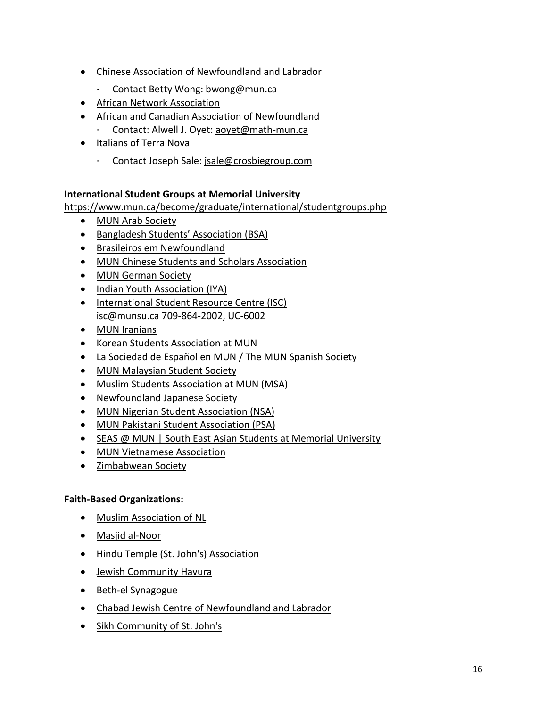- Chinese Association of Newfoundland and Labrador
	- Contact Betty Wong: [bwong@mun.ca](mailto:bwong@mun.ca)
- African Network [Association](https://www.facebook.com/anaincorg/)
- African and Canadian Association of Newfoundland - Contact: Alwell J. Oyet: [aoyet@math-mun.ca](mailto:aoyet@math-mun.ca)
- Italians of Terra Nova
	- Contact Joseph Sale: [jsale@crosbiegroup.com](mailto:jsale@crosbiegroup.com)

#### **International Student Groups at Memorial University**

<https://www.mun.ca/become/graduate/international/studentgroups.php>

- MUN Arab [Society](https://www.facebook.com/groups/munarabs/)
- [Bangladesh](https://www.facebook.com/pages/Bangladesh-Students-Association-BSAMemorial-University-of-Newfoundland/360437637341010) Students' Association (BSA)
- Brasileiros em [Newfoundland](https://www.facebook.com/groups/171289066336829/)
- MUN Chinese Students and Scholars [Association](https://www.facebook.com/muncssa)
- MUN [German](https://www.facebook.com/groups/MUNGermansociety/) Society
- Indian Youth [Association](https://www.facebook.com/groups/iyamun/) (IYA)
- [International](http://munsu.ca/studentlife/centres/) Student Resource Centre (ISC) [isc@munsu.ca](mailto:isc@munsu.ca) 709-864-2002, UC-6002
- MUN [Iranians](http://www.mun.ca/muniranians)
- Korean Students [Association](https://www.facebook.com/koreanatmun) at MUN
- La [Sociedad](https://www.facebook.com/groups/152557028104922/) de Español en MUN / The MUN Spanish Society
- MUN [Malaysian](mailto:malaysianstudentsociety@gmail.com) Student Society
- Muslim Students [Association](https://www.facebook.com/groups/msamun/) at MUN (MSA)
- [Newfoundland](https://www.facebook.com/groups/204372659590221/) Japanese Society
- MUN Nigerian Student [Association](https://www.facebook.com/groups/252475694795917/) (NSA)
- MUN Pakistani Student [Association](https://www.facebook.com/groups/psa.mun/) (PSA)
- SEAS @ MUN | South East Asian Students at Memorial [University](https://www.facebook.com/groups/260237200704496/)
- MUN [Vietnamese](https://www.facebook.com/groups/vietatmun/) Association
- [Zimbabwean](https://www.facebook.com/groups/5084809940/) Society

#### **Faith-Based Organizations:**

- Muslim [Association](http://www.manal.ca/) of NL
- Masjid [al-Noor](http://www.arts.mun.ca/localreligions/profiles/masjid_al_noor.html)
- Hindu Temple (St. John's) [Association](http://www.engr.mun.ca/~adluri/temple/)
- Jewish [Community](http://www.havura.org/contact.html) Havura
- Beth-el [Synagogue](https://theajc.ns.ca/history/the-jewish-community-of-newfoundland/)
- Chabad Jewish Centre of [Newfoundland](https://www.chabadofnewfoundland.org/contact) and Labrador
- Sikh [Community](http://www.arts.mun.ca/localreligions/profiles/sikhism.html) of St. John's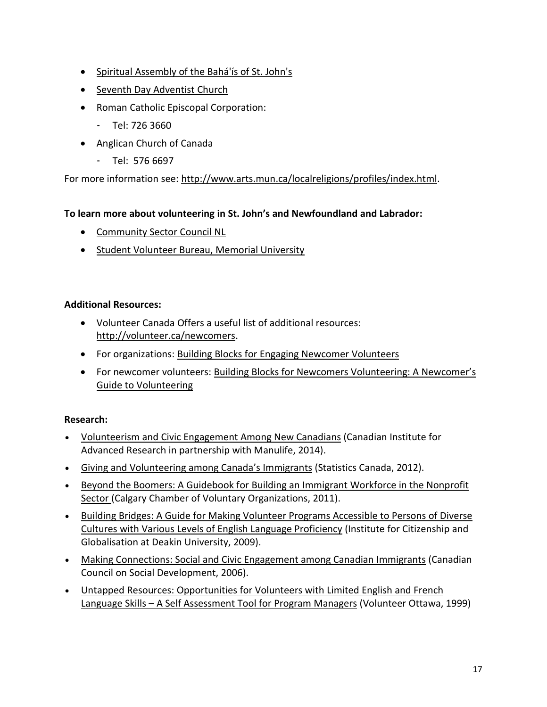- Spiritual [Assembly](http://stjohns-nl.ca.bahai.org/) of the Bahá'ís of St. John's
- Seventh Day [Adventist](http://www.arts.mun.ca/localreligions/profiles/seventh_day.html) Church
- Roman Catholic Episcopal Corporation:
	- Tel: 726 3660
- Anglican Church of Canada
	- Tel: 576 6697

For more information see: [http://www.arts.mun.ca/localreligions/profiles/index.html.](http://www.arts.mun.ca/localreligions/profiles/index.html)

#### **To learn more about volunteering in St. John's and Newfoundland and Labrador:**

- [Community](http://www.ccsd.ca/index.php/social-planning-councils/item/community-sector-council-newfoundland-and-labrador) Sector Council NL
- Student Volunteer Bureau, Memorial [University](http://www.mun.ca/cdel/Resources/Student_Volunteer_Bureau_SVB/index.php)

#### **Additional Resources:**

- Volunteer Canada Offers a useful list of additional resources: [http://volunteer.ca/newcomers.](http://volunteer.ca/newcomers)
- For organizations: Building Blocks for Engaging [Newcomer](http://volunteer.ca/content/building-blocks-engaging-newcomer-volunteers) Volunteers
- For newcomer volunteers: Building Blocks for Newcomers [Volunteering:](http://volunteer.ca/content/building-blocks-newcomers-volunteering-newcomer%25E2%2580%2599s-guide-volunteering) A Newcomer's Guide to [Volunteering](http://volunteer.ca/content/building-blocks-newcomers-volunteering-newcomer%25E2%2580%2599s-guide-volunteering)

#### **Research:**

- [Volunteerism](http://volunteer.ca/content/cifar-volunteerism-and-civic-engagement-among-new-canadians) and Civic Engagement Among New Canadians (Canadian Institute for Advanced Research in partnership with Manulife, 2014).
- Giving and [Volunteering](http://volunteer.ca/content/giving-and-volunteering-among-canada%25E2%2580%2599s-immigrants) among Canada's Immigrants (Statistics Canada, 2012).
- Beyond the Boomers: A [Guidebook](http://volunteer.ca/content/beyond-boomers-guidebook-building-immigrant-workforce-nonprofit-sector) for Building an Immigrant Workforce in the Nonprofit [Sector](http://volunteer.ca/content/beyond-boomers-guidebook-building-immigrant-workforce-nonprofit-sector) (Calgary Chamber of Voluntary Organizations, 2011).
- Building Bridges: A Guide for Making Volunteer Programs [Accessible](http://volunteer.ca/content/building-bridges-guide-making-volunteer-programs-accessible-persons-diverse-cultures-various) to Persons of Diverse Cultures with Various Levels of English Language [Proficiency](http://volunteer.ca/content/building-bridges-guide-making-volunteer-programs-accessible-persons-diverse-cultures-various) (Institute for Citizenship and Globalisation at Deakin University, 2009).
- Making [Connections:](http://volunteer.ca/content/making-connections-social-and-civic-engagement-among-canadian-immigrants) Social and Civic Engagement among Canadian Immigrants (Canadian Council on Social Development, 2006).
- Untapped Resources: [Opportunities](http://volunteer.ca/content/untapped-resources-opportunities-volunteers-limited-english-and-french-language-skills) for Volunteers with Limited English and French Language Skills – A Self [Assessment](http://volunteer.ca/content/untapped-resources-opportunities-volunteers-limited-english-and-french-language-skills) Tool for Program Managers (Volunteer Ottawa, 1999)